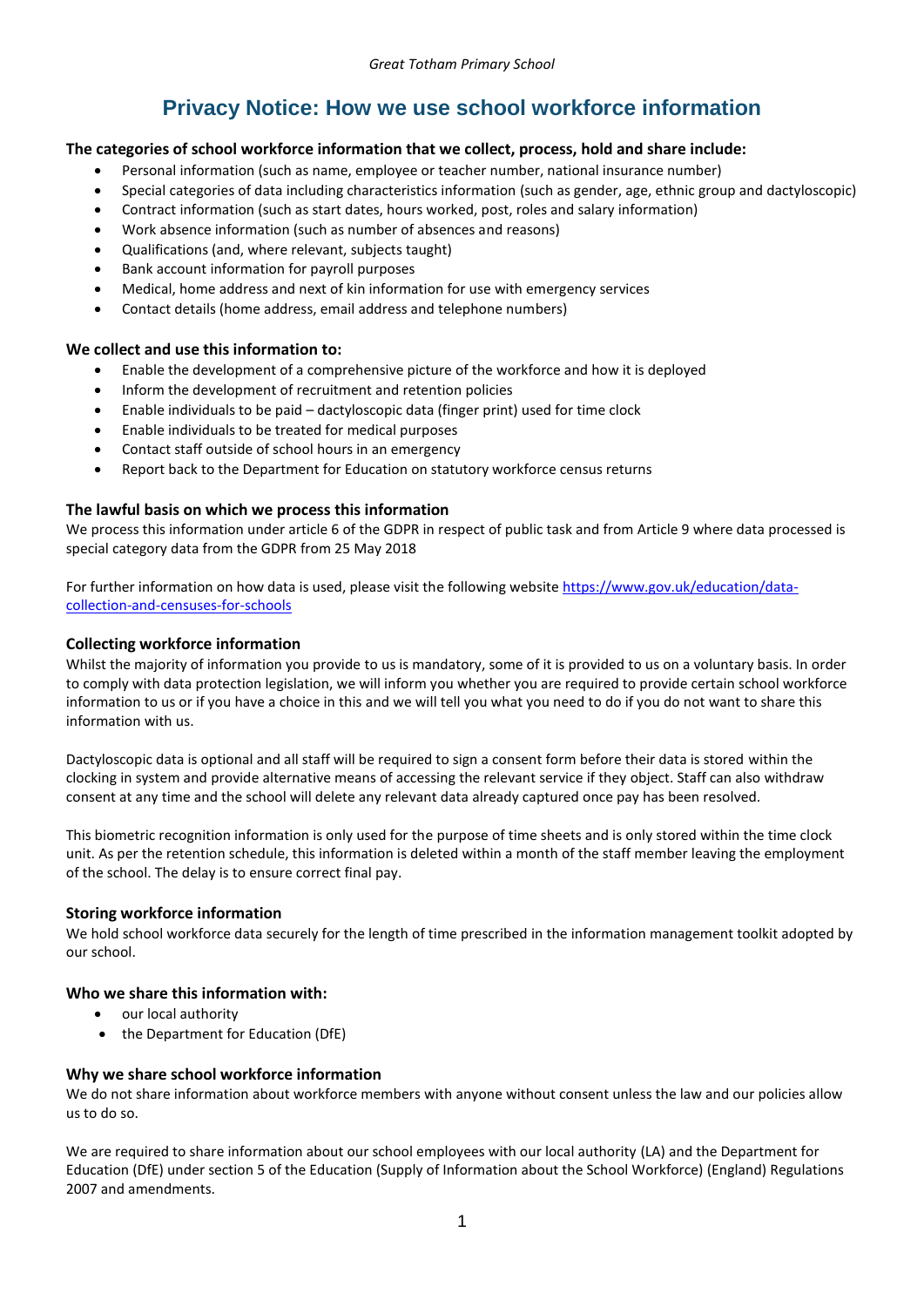# **Privacy Notice: How we use school workforce information**

# **The categories of school workforce information that we collect, process, hold and share include:**

- Personal information (such as name, employee or teacher number, national insurance number)
- Special categories of data including characteristics information (such as gender, age, ethnic group and dactyloscopic)
- Contract information (such as start dates, hours worked, post, roles and salary information)
- Work absence information (such as number of absences and reasons)
- Qualifications (and, where relevant, subjects taught)
- Bank account information for payroll purposes
- Medical, home address and next of kin information for use with emergency services
- Contact details (home address, email address and telephone numbers)

## **We collect and use this information to:**

- Enable the development of a comprehensive picture of the workforce and how it is deployed
- Inform the development of recruitment and retention policies
- Enable individuals to be paid dactyloscopic data (finger print) used for time clock
- Enable individuals to be treated for medical purposes
- Contact staff outside of school hours in an emergency
- Report back to the Department for Education on statutory workforce census returns

## **The lawful basis on which we process this information**

We process this information under article 6 of the GDPR in respect of public task and from Article 9 where data processed is special category data from the GDPR from 25 May 2018

For further information on how data is used, please visit the following website [https://www.gov.uk/education/data](https://www.gov.uk/education/data-collection-and-censuses-for-schools)[collection-and-censuses-for-schools](https://www.gov.uk/education/data-collection-and-censuses-for-schools)

## **Collecting workforce information**

Whilst the majority of information you provide to us is mandatory, some of it is provided to us on a voluntary basis. In order to comply with data protection legislation, we will inform you whether you are required to provide certain school workforce information to us or if you have a choice in this and we will tell you what you need to do if you do not want to share this information with us.

Dactyloscopic data is optional and all staff will be required to sign a consent form before their data is stored within the clocking in system and provide alternative means of accessing the relevant service if they object. Staff can also withdraw consent at any time and the school will delete any relevant data already captured once pay has been resolved.

This biometric recognition information is only used for the purpose of time sheets and is only stored within the time clock unit. As per the retention schedule, this information is deleted within a month of the staff member leaving the employment of the school. The delay is to ensure correct final pay.

#### **Storing workforce information**

We hold school workforce data securely for the length of time prescribed in the information management toolkit adopted by our school.

## **Who we share this information with:**

- our local authority
- the Department for Education (DfE)

#### **Why we share school workforce information**

We do not share information about workforce members with anyone without consent unless the law and our policies allow us to do so.

We are required to share information about our school employees with our local authority (LA) and the Department for Education (DfE) under section 5 of the Education (Supply of Information about the School Workforce) (England) Regulations 2007 and amendments.